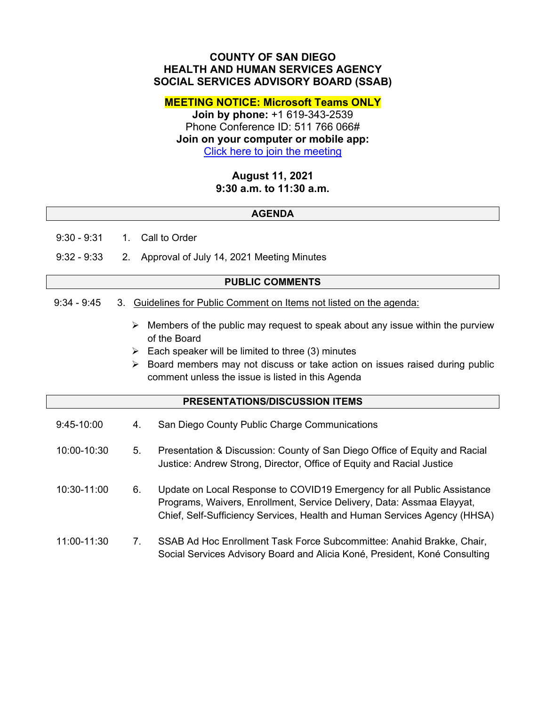## **COUNTY OF SAN DIEGO HEALTH AND HUMAN SERVICES AGENCY SOCIAL SERVICES ADVISORY BOARD (SSAB)**

## **MEETING NOTICE: Microsoft Teams ONLY**

**Join by phone:** +1 619-343-2539 Phone Conference ID: 511 766 066# **Join on your computer or mobile app:**  [Click here to join the meeting](https://teams.microsoft.com/l/meetup-join/19%3ameeting_ZWIyMmM5YzQtOGI2Mi00NmI0LTgyODMtOTJmNzJiMjVhMjBm%40thread.v2/0?context=%7b%22Tid%22%3a%224563af13-c029-41b3-b74c-965e8eec8f96%22%2c%22Oid%22%3a%2239a7bf66-6a88-4ff0-a899-61ea07a9b67c%22%7d)

# **August 11, 2021 9:30 a.m. to 11:30 a.m.**

#### **AGENDA**

9:30 - 9:31 1. Call to Order

9:32 - 9:33 2. Approval of July 14, 2021 Meeting Minutes

#### **PUBLIC COMMENTS**

#### 9:34 - 9:45 3. Guidelines for Public Comment on Items not listed on the agenda:

- $\triangleright$  Members of the public may request to speak about any issue within the purview of the Board
- $\triangleright$  Each speaker will be limited to three (3) minutes
- $\triangleright$  Board members may not discuss or take action on issues raised during public comment unless the issue is listed in this Agenda

## **PRESENTATIONS/DISCUSSION ITEMS**

- 9:45-10:00 4. San Diego County Public Charge Communications
- 10:00-10:30 5. Presentation & Discussion: County of San Diego Office of Equity and Racial Justice: Andrew Strong, Director, Office of Equity and Racial Justice
- 10:30-11:00 6. Update on Local Response to COVID19 Emergency for all Public Assistance Programs, Waivers, Enrollment, Service Delivery, Data: Assmaa Elayyat, Chief, Self-Sufficiency Services, Health and Human Services Agency (HHSA)
- 11:00-11:30 7. SSAB Ad Hoc Enrollment Task Force Subcommittee: Anahid Brakke, Chair, Social Services Advisory Board and Alicia Koné, President, Koné Consulting